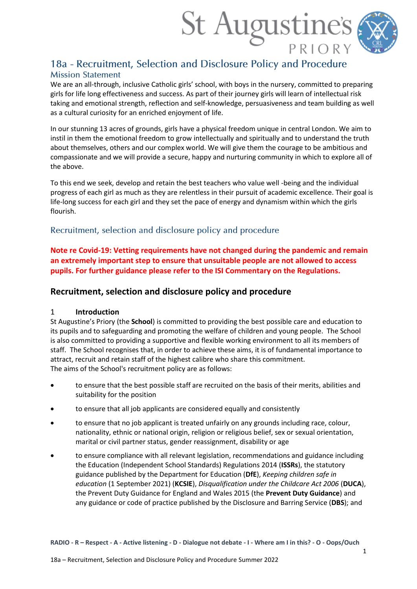

# 18a - Recruitment, Selection and Disclosure Policy and Procedure **Mission Statement**

We are an all-through, inclusive Catholic girls' school, with boys in the nursery, committed to preparing girls for life long effectiveness and success. As part of their journey girls will learn of intellectual risk taking and emotional strength, reflection and self-knowledge, persuasiveness and team building as well as a cultural curiosity for an enriched enjoyment of life.

In our stunning 13 acres of grounds, girls have a physical freedom unique in central London. We aim to instil in them the emotional freedom to grow intellectually and spiritually and to understand the truth about themselves, others and our complex world. We will give them the courage to be ambitious and compassionate and we will provide a secure, happy and nurturing community in which to explore all of the above.

To this end we seek, develop and retain the best teachers who value well -being and the individual progress of each girl as much as they are relentless in their pursuit of academic excellence. Their goal is life-long success for each girl and they set the pace of energy and dynamism within which the girls flourish.

## Recruitment, selection and disclosure policy and procedure

**Note re Covid-19: Vetting requirements have not changed during the pandemic and remain an extremely important step to ensure that unsuitable people are not allowed to access pupils. For further guidance please refer to the ISI Commentary on the Regulations.**

## **Recruitment, selection and disclosure policy and procedure**

### 1 **Introduction**

St Augustine's Priory (the **School**) is committed to providing the best possible care and education to its pupils and to safeguarding and promoting the welfare of children and young people. The School is also committed to providing a supportive and flexible working environment to all its members of staff. The School recognises that, in order to achieve these aims, it is of fundamental importance to attract, recruit and retain staff of the highest calibre who share this commitment. The aims of the School's recruitment policy are as follows:

- to ensure that the best possible staff are recruited on the basis of their merits, abilities and suitability for the position
- to ensure that all job applicants are considered equally and consistently
- to ensure that no job applicant is treated unfairly on any grounds including race, colour, nationality, ethnic or national origin, religion or religious belief, sex or sexual orientation, marital or civil partner status, gender reassignment, disability or age
- to ensure compliance with all relevant legislation, recommendations and guidance including the Education (Independent School Standards) Regulations 2014 (**ISSRs**), the statutory guidance published by the Department for Education (**DfE**), *Keeping children safe in education* (1 September 2021) (**KCSIE**), *Disqualification under the Childcare Act 2006* (**DUCA**), the Prevent Duty Guidance for England and Wales 2015 (the **Prevent Duty Guidance**) and any guidance or code of practice published by the Disclosure and Barring Service (**DBS**); and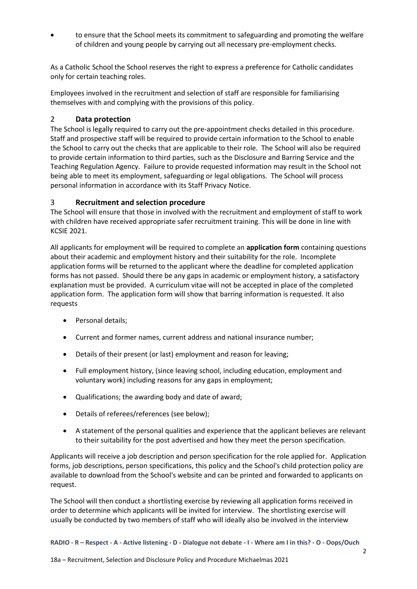• to ensure that the School meets its commitment to safeguarding and promoting the welfare of children and young people by carrying out all necessary pre-employment checks.

As a Catholic School the School reserves the right to express a preference for Catholic candidates only for certain teaching roles.

Employees involved in the recruitment and selection of staff are responsible for familiarising themselves with and complying with the provisions of this policy.

### 2 **Data protection**

The School is legally required to carry out the pre-appointment checks detailed in this procedure. Staff and prospective staff will be required to provide certain information to the School to enable the School to carry out the checks that are applicable to their role. The School will also be required to provide certain information to third parties, such as the Disclosure and Barring Service and the Teaching Regulation Agency. Failure to provide requested information may result in the School not being able to meet its employment, safeguarding or legal obligations. The School will process personal information in accordance with its Staff Privacy Notice.

### 3 **Recruitment and selection procedure**

The School will ensure that those in involved with the recruitment and employment of staff to work with children have received appropriate safer recruitment training. This will be done in line with KCSIE 2021.

All applicants for employment will be required to complete an **application form** containing questions about their academic and employment history and their suitability for the role. Incomplete application forms will be returned to the applicant where the deadline for completed application forms has not passed. Should there be any gaps in academic or employment history, a satisfactory explanation must be provided. A curriculum vitae will not be accepted in place of the completed application form. The application form will show that barring information is requested. It also requests

- Personal details;
- Current and former names, current address and national insurance number;
- Details of their present (or last) employment and reason for leaving;
- Full employment history, (since leaving school, including education, employment and voluntary work) including reasons for any gaps in employment;
- Qualifications; the awarding body and date of award;
- Details of referees/references (see below);
- A statement of the personal qualities and experience that the applicant believes are relevant to their suitability for the post advertised and how they meet the person specification.

Applicants will receive a job description and person specification for the role applied for. Application forms, job descriptions, person specifications, this policy and the School's child protection policy are available to download from the School's website and can be printed and forwarded to applicants on request.

The School will then conduct a shortlisting exercise by reviewing all application forms received in order to determine which applicants will be invited for interview. The shortlisting exercise will usually be conducted by two members of staff who will ideally also be involved in the interview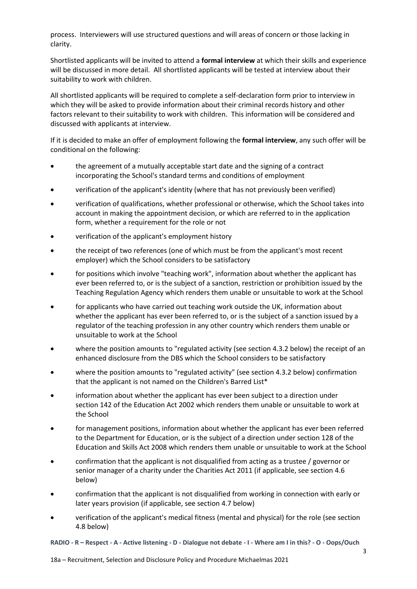process. Interviewers will use structured questions and will areas of concern or those lacking in clarity.

Shortlisted applicants will be invited to attend a **formal interview** at which their skills and experience will be discussed in more detail. All shortlisted applicants will be tested at interview about their suitability to work with children.

All shortlisted applicants will be required to complete a self-declaration form prior to interview in which they will be asked to provide information about their criminal records history and other factors relevant to their suitability to work with children. This information will be considered and discussed with applicants at interview.

If it is decided to make an offer of employment following the **formal interview**, any such offer will be conditional on the following:

- the agreement of a mutually acceptable start date and the signing of a contract incorporating the School's standard terms and conditions of employment
- verification of the applicant's identity (where that has not previously been verified)
- verification of qualifications, whether professional or otherwise, which the School takes into account in making the appointment decision, or which are referred to in the application form, whether a requirement for the role or not
- verification of the applicant's employment history
- the receipt of two references (one of which must be from the applicant's most recent employer) which the School considers to be satisfactory
- for positions which involve "teaching work", information about whether the applicant has ever been referred to, or is the subject of a sanction, restriction or prohibition issued by the Teaching Regulation Agency which renders them unable or unsuitable to work at the School
- for applicants who have carried out teaching work outside the UK, information about whether the applicant has ever been referred to, or is the subject of a sanction issued by a regulator of the teaching profession in any other country which renders them unable or unsuitable to work at the School
- where the position amounts to "regulated activity (see section [4.3.2](#page-6-0) below) the receipt of an enhanced disclosure from the DBS which the School considers to be satisfactory
- where the position amounts to "regulated activity" (see sectio[n 4.3.2](#page-6-0) below) confirmation that the applicant is not named on the Children's Barred List\*
- information about whether the applicant has ever been subject to a direction under section 142 of the Education Act 2002 which renders them unable or unsuitable to work at the School
- for management positions, information about whether the applicant has ever been referred to the Department for Education, or is the subject of a direction under section 128 of the Education and Skills Act 2008 which renders them unable or unsuitable to work at the School
- confirmation that the applicant is not disqualified from acting as a trustee / governor or senior manager of a charity under the Charities Act 2011 (if applicable, see section [4.6](#page-9-0) below)
- confirmation that the applicant is not disqualified from working in connection with early or later years provision (if applicable, see section [4.7](#page-10-0) below)
- verification of the applicant's medical fitness (mental and physical) for the role (see section [4.8](#page-13-0) below)
- **RADIO - R – Respect - A - Active listening - D - Dialogue not debate - I - Where am I in this? - O - Oops/Ouch**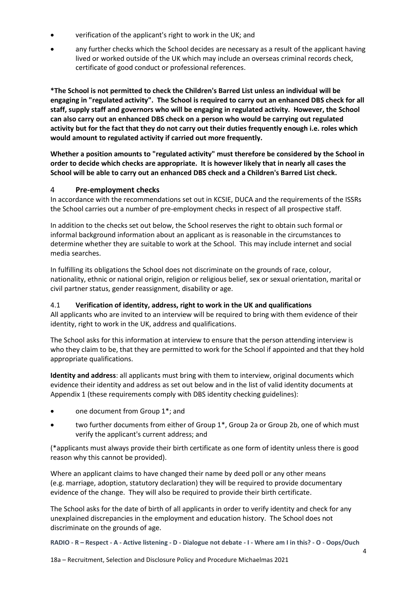- verification of the applicant's right to work in the UK; and
- any further checks which the School decides are necessary as a result of the applicant having lived or worked outside of the UK which may include an overseas criminal records check, certificate of good conduct or professional references.

**\*The School is not permitted to check the Children's Barred List unless an individual will be engaging in "regulated activity". The School is required to carry out an enhanced DBS check for all staff, supply staff and governors who will be engaging in regulated activity. However, the School can also carry out an enhanced DBS check on a person who would be carrying out regulated activity but for the fact that they do not carry out their duties frequently enough i.e. roles which would amount to regulated activity if carried out more frequently.**

**Whether a position amounts to "regulated activity" must therefore be considered by the School in order to decide which checks are appropriate. It is however likely that in nearly all cases the School will be able to carry out an enhanced DBS check and a Children's Barred List check.**

### 4 **Pre-employment checks**

In accordance with the recommendations set out in KCSIE, DUCA and the requirements of the ISSRs the School carries out a number of pre-employment checks in respect of all prospective staff.

In addition to the checks set out below, the School reserves the right to obtain such formal or informal background information about an applicant as is reasonable in the circumstances to determine whether they are suitable to work at the School. This may include internet and social media searches.

In fulfilling its obligations the School does not discriminate on the grounds of race, colour, nationality, ethnic or national origin, religion or religious belief, sex or sexual orientation, marital or civil partner status, gender reassignment, disability or age.

## <span id="page-3-0"></span>4.1 **Verification of identity, address, right to work in the UK and qualifications**

All applicants who are invited to an interview will be required to bring with them evidence of their identity, right to work in the UK, address and qualifications.

The School asks for this information at interview to ensure that the person attending interview is who they claim to be, that they are permitted to work for the School if appointed and that they hold appropriate qualifications.

**Identity and address**: all applicants must bring with them to interview, original documents which evidence their identity and address as set out below and in the list of valid identity documents at [Appendix 1](#page-17-0) (these requirements comply with DBS identity checking guidelines):

- one document from Group 1<sup>\*</sup>; and
- two further documents from either of Group 1\*, Group 2a or Group 2b, one of which must verify the applicant's current address; and

(\*applicants must always provide their birth certificate as one form of identity unless there is good reason why this cannot be provided).

Where an applicant claims to have changed their name by deed poll or any other means (e.g. marriage, adoption, statutory declaration) they will be required to provide documentary evidence of the change. They will also be required to provide their birth certificate.

The School asks for the date of birth of all applicants in order to verify identity and check for any unexplained discrepancies in the employment and education history. The School does not discriminate on the grounds of age.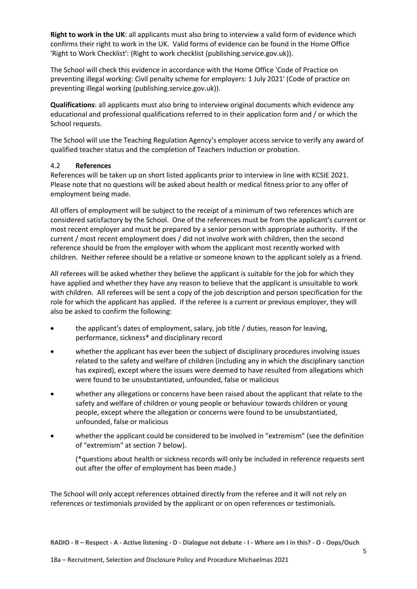**Right to work in the UK**: all applicants must also bring to interview a valid form of evidence which confirms their right to work in the UK. Valid forms of evidence can be found in the Home Office 'Right to Work Checklist': (Right to work checklist (publishing.service.gov.uk)).

The School will check this evidence in accordance with the Home Office 'Code of Practice on preventing illegal working: Civil penalty scheme for employers: 1 July 2021' (Code of practice on preventing illegal working (publishing.service.gov.uk)).

**Qualifications**: all applicants must also bring to interview original documents which evidence any educational and professional qualifications referred to in their application form and / or which the School requests.

The School will use the Teaching Regulation Agency's employer access service to verify any award of qualified teacher status and the completion of Teachers induction or probation.

#### 4.2 **References**

References will be taken up on short listed applicants prior to interview in line with KCSIE 2021. Please note that no questions will be asked about health or medical fitness prior to any offer of employment being made.

All offers of employment will be subject to the receipt of a minimum of two references which are considered satisfactory by the School. One of the references must be from the applicant's current or most recent employer and must be prepared by a senior person with appropriate authority. If the current / most recent employment does / did not involve work with children, then the second reference should be from the employer with whom the applicant most recently worked with children. Neither referee should be a relative or someone known to the applicant solely as a friend.

All referees will be asked whether they believe the applicant is suitable for the job for which they have applied and whether they have any reason to believe that the applicant is unsuitable to work with children. All referees will be sent a copy of the job description and person specification for the role for which the applicant has applied. If the referee is a current or previous employer, they will also be asked to confirm the following:

- the applicant's dates of employment, salary, job title / duties, reason for leaving, performance, sickness\* and disciplinary record
- whether the applicant has ever been the subject of disciplinary procedures involving issues related to the safety and welfare of children (including any in which the disciplinary sanction has expired), except where the issues were deemed to have resulted from allegations which were found to be unsubstantiated, unfounded, false or malicious
- whether any allegations or concerns have been raised about the applicant that relate to the safety and welfare of children or young people or behaviour towards children or young people, except where the allegation or concerns were found to be unsubstantiated, unfounded, false or malicious
- whether the applicant could be considered to be involved in "extremism" (see the definition of "extremism" at sectio[n 7](#page-14-0) below).

(\*questions about health or sickness records will only be included in reference requests sent out after the offer of employment has been made.)

The School will only accept references obtained directly from the referee and it will not rely on references or testimonials provided by the applicant or on open references or testimonials.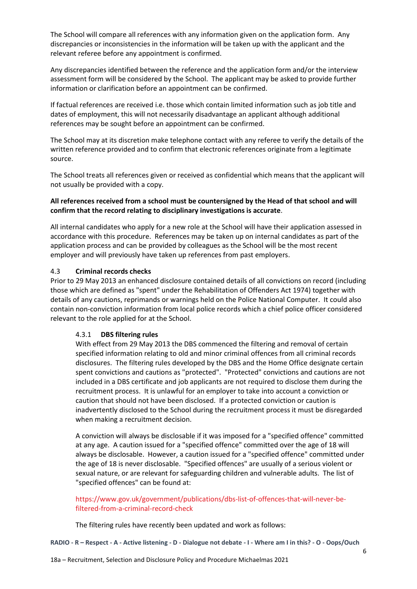The School will compare all references with any information given on the application form. Any discrepancies or inconsistencies in the information will be taken up with the applicant and the relevant referee before any appointment is confirmed.

Any discrepancies identified between the reference and the application form and/or the interview assessment form will be considered by the School. The applicant may be asked to provide further information or clarification before an appointment can be confirmed.

If factual references are received i.e. those which contain limited information such as job title and dates of employment, this will not necessarily disadvantage an applicant although additional references may be sought before an appointment can be confirmed.

The School may at its discretion make telephone contact with any referee to verify the details of the written reference provided and to confirm that electronic references originate from a legitimate source.

The School treats all references given or received as confidential which means that the applicant will not usually be provided with a copy.

#### **All references received from a school must be countersigned by the Head of that school and will confirm that the record relating to disciplinary investigations is accurate**.

All internal candidates who apply for a new role at the School will have their application assessed in accordance with this procedure. References may be taken up on internal candidates as part of the application process and can be provided by colleagues as the School will be the most recent employer and will previously have taken up references from past employers.

#### 4.3 **Criminal records checks**

Prior to 29 May 2013 an enhanced disclosure contained details of all convictions on record (including those which are defined as "spent" under the Rehabilitation of Offenders Act 1974) together with details of any cautions, reprimands or warnings held on the Police National Computer. It could also contain non-conviction information from local police records which a chief police officer considered relevant to the role applied for at the School.

### <span id="page-5-0"></span>4.3.1 **DBS filtering rules**

With effect from 29 May 2013 the DBS commenced the filtering and removal of certain specified information relating to old and minor criminal offences from all criminal records disclosures. The filtering rules developed by the DBS and the Home Office designate certain spent convictions and cautions as "protected". "Protected" convictions and cautions are not included in a DBS certificate and job applicants are not required to disclose them during the recruitment process. It is unlawful for an employer to take into account a conviction or caution that should not have been disclosed. If a protected conviction or caution is inadvertently disclosed to the School during the recruitment process it must be disregarded when making a recruitment decision.

A conviction will always be disclosable if it was imposed for a "specified offence" committed at any age. A caution issued for a "specified offence" committed over the age of 18 will always be disclosable. However, a caution issued for a "specified offence" committed under the age of 18 is never disclosable. "Specified offences" are usually of a serious violent or sexual nature, or are relevant for safeguarding children and vulnerable adults. The list of "specified offences" can be found at:

#### [https://www.gov.uk/government/publications/dbs-list-of-offences-that-will-never-be](https://www.gov.uk/government/publications/dbs-list-of-offences-that-will-never-be-filtered-from-a-criminal-record-check)[filtered-from-a-criminal-record-check](https://www.gov.uk/government/publications/dbs-list-of-offences-that-will-never-be-filtered-from-a-criminal-record-check)

The filtering rules have recently been updated and work as follows: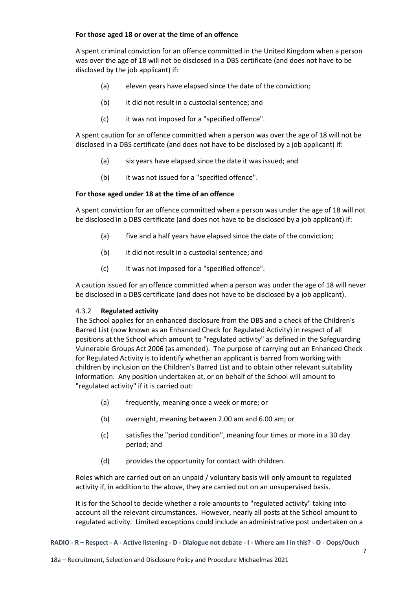#### **For those aged 18 or over at the time of an offence**

A spent criminal conviction for an offence committed in the United Kingdom when a person was over the age of 18 will not be disclosed in a DBS certificate (and does not have to be disclosed by the job applicant) if:

- (a) eleven years have elapsed since the date of the conviction;
- (b) it did not result in a custodial sentence; and
- (c) it was not imposed for a "specified offence".

A spent caution for an offence committed when a person was over the age of 18 will not be disclosed in a DBS certificate (and does not have to be disclosed by a job applicant) if:

- (a) six years have elapsed since the date it was issued; and
- (b) it was not issued for a "specified offence".

### **For those aged under 18 at the time of an offence**

A spent conviction for an offence committed when a person was under the age of 18 will not be disclosed in a DBS certificate (and does not have to be disclosed by a job applicant) if:

- (a) five and a half years have elapsed since the date of the conviction;
- (b) it did not result in a custodial sentence; and
- (c) it was not imposed for a "specified offence".

A caution issued for an offence committed when a person was under the age of 18 will never be disclosed in a DBS certificate (and does not have to be disclosed by a job applicant).

### <span id="page-6-0"></span>4.3.2 **Regulated activity**

The School applies for an enhanced disclosure from the DBS and a check of the Children's Barred List (now known as an Enhanced Check for Regulated Activity) in respect of all positions at the School which amount to "regulated activity" as defined in the Safeguarding Vulnerable Groups Act 2006 (as amended). The purpose of carrying out an Enhanced Check for Regulated Activity is to identify whether an applicant is barred from working with children by inclusion on the Children's Barred List and to obtain other relevant suitability information. Any position undertaken at, or on behalf of the School will amount to "regulated activity" if it is carried out:

- (a) frequently, meaning once a week or more; or
- (b) overnight, meaning between 2.00 am and 6.00 am; or
- (c) satisfies the "period condition", meaning four times or more in a 30 day period; and
- (d) provides the opportunity for contact with children.

Roles which are carried out on an unpaid / voluntary basis will only amount to regulated activity if, in addition to the above, they are carried out on an unsupervised basis.

It is for the School to decide whether a role amounts to "regulated activity" taking into account all the relevant circumstances. However, nearly all posts at the School amount to regulated activity. Limited exceptions could include an administrative post undertaken on a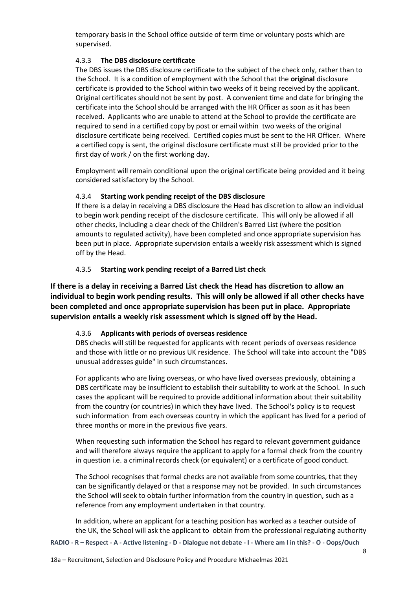temporary basis in the School office outside of term time or voluntary posts which are supervised.

#### 4.3.3 **The DBS disclosure certificate**

The DBS issues the DBS disclosure certificate to the subject of the check only, rather than to the School. It is a condition of employment with the School that the **original** disclosure certificate is provided to the School within two weeks of it being received by the applicant. Original certificates should not be sent by post. A convenient time and date for bringing the certificate into the School should be arranged with the HR Officer as soon as it has been received. Applicants who are unable to attend at the School to provide the certificate are required to send in a certified copy by post or email within two weeks of the original disclosure certificate being received. Certified copies must be sent to the HR Officer. Where a certified copy is sent, the original disclosure certificate must still be provided prior to the first day of work / on the first working day.

Employment will remain conditional upon the original certificate being provided and it being considered satisfactory by the School.

#### 4.3.4 **Starting work pending receipt of the DBS disclosure**

If there is a delay in receiving a DBS disclosure the Head has discretion to allow an individual to begin work pending receipt of the disclosure certificate. This will only be allowed if all other checks, including a clear check of the Children's Barred List (where the position amounts to regulated activity), have been completed and once appropriate supervision has been put in place. Appropriate supervision entails a weekly risk assessment which is signed off by the Head.

#### 4.3.5 **Starting work pending receipt of a Barred List check**

**If there is a delay in receiving a Barred List check the Head has discretion to allow an individual to begin work pending results. This will only be allowed if all other checks have been completed and once appropriate supervision has been put in place. Appropriate supervision entails a weekly risk assessment which is signed off by the Head.**

#### 4.3.6 **Applicants with periods of overseas residence**

DBS checks will still be requested for applicants with recent periods of overseas residence and those with little or no previous UK residence. The School will take into account the "DBS unusual addresses guide" in such circumstances.

For applicants who are living overseas, or who have lived overseas previously, obtaining a DBS certificate may be insufficient to establish their suitability to work at the School. In such cases the applicant will be required to provide additional information about their suitability from the country (or countries) in which they have lived. The School's policy is to request such information from each overseas country in which the applicant has lived for a period of three months or more in the previous five years.

When requesting such information the School has regard to relevant government guidance and will therefore always require the applicant to apply for a formal check from the country in question i.e. a criminal records check (or equivalent) or a certificate of good conduct.

The School recognises that formal checks are not available from some countries, that they can be significantly delayed or that a response may not be provided. In such circumstances the School will seek to obtain further information from the country in question, such as a reference from any employment undertaken in that country.

In addition, where an applicant for a teaching position has worked as a teacher outside of the UK, the School will ask the applicant to obtain from the professional regulating authority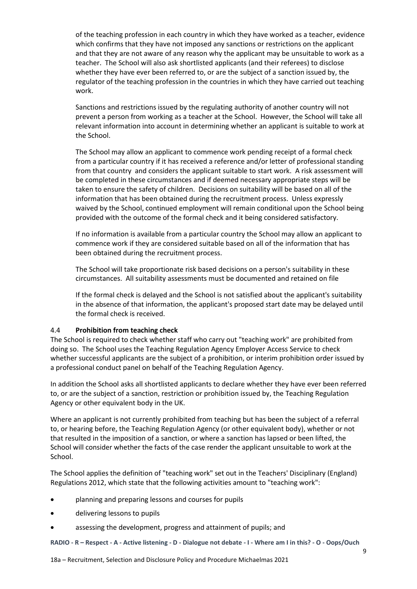of the teaching profession in each country in which they have worked as a teacher, evidence which confirms that they have not imposed any sanctions or restrictions on the applicant and that they are not aware of any reason why the applicant may be unsuitable to work as a teacher. The School will also ask shortlisted applicants (and their referees) to disclose whether they have ever been referred to, or are the subject of a sanction issued by, the regulator of the teaching profession in the countries in which they have carried out teaching work.

Sanctions and restrictions issued by the regulating authority of another country will not prevent a person from working as a teacher at the School. However, the School will take all relevant information into account in determining whether an applicant is suitable to work at the School.

The School may allow an applicant to commence work pending receipt of a formal check from a particular country if it has received a reference and/or letter of professional standing from that country and considers the applicant suitable to start work. A risk assessment will be completed in these circumstances and if deemed necessary appropriate steps will be taken to ensure the safety of children. Decisions on suitability will be based on all of the information that has been obtained during the recruitment process. Unless expressly waived by the School, continued employment will remain conditional upon the School being provided with the outcome of the formal check and it being considered satisfactory.

If no information is available from a particular country the School may allow an applicant to commence work if they are considered suitable based on all of the information that has been obtained during the recruitment process.

The School will take proportionate risk based decisions on a person's suitability in these circumstances. All suitability assessments must be documented and retained on file

If the formal check is delayed and the School is not satisfied about the applicant's suitability in the absence of that information, the applicant's proposed start date may be delayed until the formal check is received.

#### 4.4 **Prohibition from teaching check**

The School is required to check whether staff who carry out "teaching work" are prohibited from doing so. The School uses the Teaching Regulation Agency Employer Access Service to check whether successful applicants are the subject of a prohibition, or interim prohibition order issued by a professional conduct panel on behalf of the Teaching Regulation Agency.

In addition the School asks all shortlisted applicants to declare whether they have ever been referred to, or are the subject of a sanction, restriction or prohibition issued by, the Teaching Regulation Agency or other equivalent body in the UK.

Where an applicant is not currently prohibited from teaching but has been the subject of a referral to, or hearing before, the Teaching Regulation Agency (or other equivalent body), whether or not that resulted in the imposition of a sanction, or where a sanction has lapsed or been lifted, the School will consider whether the facts of the case render the applicant unsuitable to work at the School.

The School applies the definition of "teaching work" set out in the Teachers' Disciplinary (England) Regulations 2012, which state that the following activities amount to "teaching work":

- planning and preparing lessons and courses for pupils
- delivering lessons to pupils
- assessing the development, progress and attainment of pupils; and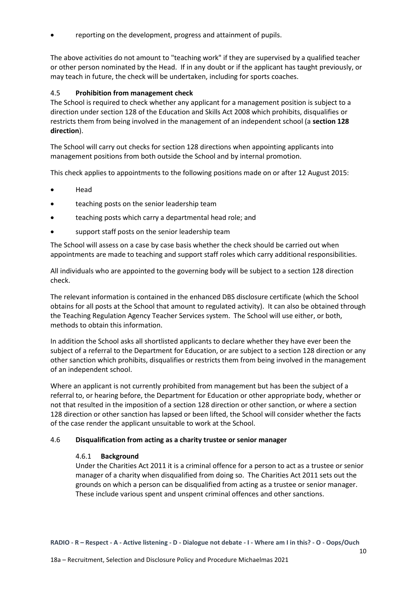• reporting on the development, progress and attainment of pupils.

The above activities do not amount to "teaching work" if they are supervised by a qualified teacher or other person nominated by the Head. If in any doubt or if the applicant has taught previously, or may teach in future, the check will be undertaken, including for sports coaches.

#### 4.5 **Prohibition from management check**

The School is required to check whether any applicant for a management position is subject to a direction under section 128 of the Education and Skills Act 2008 which prohibits, disqualifies or restricts them from being involved in the management of an independent school (a **section 128 direction**).

The School will carry out checks for section 128 directions when appointing applicants into management positions from both outside the School and by internal promotion.

This check applies to appointments to the following positions made on or after 12 August 2015:

- Head
- teaching posts on the senior leadership team
- teaching posts which carry a departmental head role; and
- support staff posts on the senior leadership team

The School will assess on a case by case basis whether the check should be carried out when appointments are made to teaching and support staff roles which carry additional responsibilities.

All individuals who are appointed to the governing body will be subject to a section 128 direction check.

The relevant information is contained in the enhanced DBS disclosure certificate (which the School obtains for all posts at the School that amount to regulated activity). It can also be obtained through the Teaching Regulation Agency Teacher Services system. The School will use either, or both, methods to obtain this information.

In addition the School asks all shortlisted applicants to declare whether they have ever been the subject of a referral to the Department for Education, or are subject to a section 128 direction or any other sanction which prohibits, disqualifies or restricts them from being involved in the management of an independent school.

Where an applicant is not currently prohibited from management but has been the subject of a referral to, or hearing before, the Department for Education or other appropriate body, whether or not that resulted in the imposition of a section 128 direction or other sanction, or where a section 128 direction or other sanction has lapsed or been lifted, the School will consider whether the facts of the case render the applicant unsuitable to work at the School.

#### <span id="page-9-0"></span>4.6 **Disqualification from acting as a charity trustee or senior manager**

#### 4.6.1 **Background**

Under the Charities Act 2011 it is a criminal offence for a person to act as a trustee or senior manager of a charity when disqualified from doing so. The Charities Act 2011 sets out the grounds on which a person can be disqualified from acting as a trustee or senior manager. These include various spent and unspent criminal offences and other sanctions.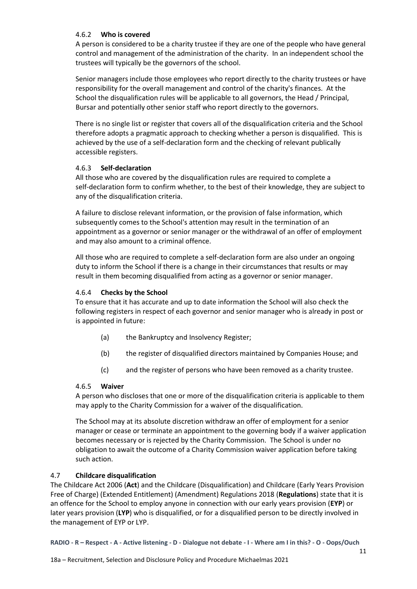#### 4.6.2 **Who is covered**

A person is considered to be a charity trustee if they are one of the people who have general control and management of the administration of the charity. In an independent school the trustees will typically be the governors of the school.

Senior managers include those employees who report directly to the charity trustees or have responsibility for the overall management and control of the charity's finances. At the School the disqualification rules will be applicable to all governors, the Head / Principal, Bursar and potentially other senior staff who report directly to the governors.

There is no single list or register that covers all of the disqualification criteria and the School therefore adopts a pragmatic approach to checking whether a person is disqualified. This is achieved by the use of a self-declaration form and the checking of relevant publically accessible registers.

#### 4.6.3 **Self-declaration**

All those who are covered by the disqualification rules are required to complete a self-declaration form to confirm whether, to the best of their knowledge, they are subject to any of the disqualification criteria.

A failure to disclose relevant information, or the provision of false information, which subsequently comes to the School's attention may result in the termination of an appointment as a governor or senior manager or the withdrawal of an offer of employment and may also amount to a criminal offence.

All those who are required to complete a self-declaration form are also under an ongoing duty to inform the School if there is a change in their circumstances that results or may result in them becoming disqualified from acting as a governor or senior manager.

#### 4.6.4 **Checks by the School**

To ensure that it has accurate and up to date information the School will also check the following registers in respect of each governor and senior manager who is already in post or is appointed in future:

- (a) the Bankruptcy and Insolvency Register;
- (b) the register of disqualified directors maintained by Companies House; and
- (c) and the register of persons who have been removed as a charity trustee.

#### 4.6.5 **Waiver**

A person who discloses that one or more of the disqualification criteria is applicable to them may apply to the Charity Commission for a waiver of the disqualification.

The School may at its absolute discretion withdraw an offer of employment for a senior manager or cease or terminate an appointment to the governing body if a waiver application becomes necessary or is rejected by the Charity Commission. The School is under no obligation to await the outcome of a Charity Commission waiver application before taking such action.

### <span id="page-10-0"></span>4.7 **Childcare disqualification**

The Childcare Act 2006 (**Act**) and the Childcare (Disqualification) and Childcare (Early Years Provision Free of Charge) (Extended Entitlement) (Amendment) Regulations 2018 (**Regulations**) state that it is an offence for the School to employ anyone in connection with our early years provision (**EYP**) or later years provision (**LYP**) who is disqualified, or for a disqualified person to be directly involved in the management of EYP or LYP.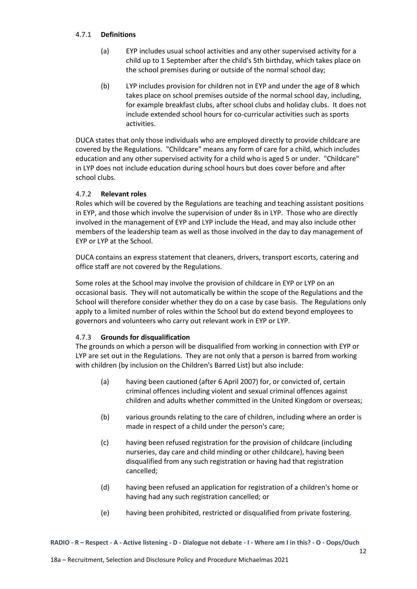#### 4.7.1 **Definitions**

- (a) EYP includes usual school activities and any other supervised activity for a child up to 1 September after the child's 5th birthday, which takes place on the school premises during or outside of the normal school day;
- (b) LYP includes provision for children not in EYP and under the age of 8 which takes place on school premises outside of the normal school day, including, for example breakfast clubs, after school clubs and holiday clubs. It does not include extended school hours for co-curricular activities such as sports activities.

DUCA states that only those individuals who are employed directly to provide childcare are covered by the Regulations. "Childcare" means any form of care for a child, which includes education and any other supervised activity for a child who is aged 5 or under. "Childcare" in LYP does not include education during school hours but does cover before and after school clubs.

### 4.7.2 **Relevant roles**

Roles which will be covered by the Regulations are teaching and teaching assistant positions in EYP, and those which involve the supervision of under 8s in LYP. Those who are directly involved in the management of EYP and LYP include the Head, and may also include other members of the leadership team as well as those involved in the day to day management of EYP or LYP at the School.

DUCA contains an express statement that cleaners, drivers, transport escorts, catering and office staff are not covered by the Regulations.

Some roles at the School may involve the provision of childcare in EYP or LYP on an occasional basis. They will not automatically be within the scope of the Regulations and the School will therefore consider whether they do on a case by case basis. The Regulations only apply to a limited number of roles within the School but do extend beyond employees to governors and volunteers who carry out relevant work in EYP or LYP.

### 4.7.3 **Grounds for disqualification**

The grounds on which a person will be disqualified from working in connection with EYP or LYP are set out in the Regulations. They are not only that a person is barred from working with children (by inclusion on the Children's Barred List) but also include:

- (a) having been cautioned (after 6 April 2007) for, or convicted of, certain criminal offences including violent and sexual criminal offences against children and adults whether committed in the United Kingdom or overseas;
- (b) various grounds relating to the care of children, including where an order is made in respect of a child under the person's care;
- (c) having been refused registration for the provision of childcare (including nurseries, day care and child minding or other childcare), having been disqualified from any such registration or having had that registration cancelled;
- (d) having been refused an application for registration of a children's home or having had any such registration cancelled; or
- (e) having been prohibited, restricted or disqualified from private fostering.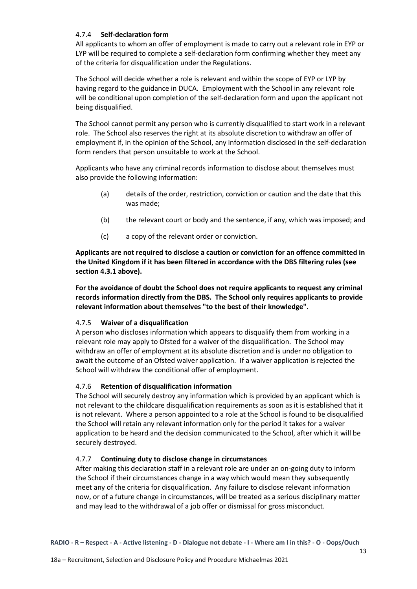#### 4.7.4 **Self-declaration form**

All applicants to whom an offer of employment is made to carry out a relevant role in EYP or LYP will be required to complete a self-declaration form confirming whether they meet any of the criteria for disqualification under the Regulations.

The School will decide whether a role is relevant and within the scope of EYP or LYP by having regard to the guidance in DUCA. Employment with the School in any relevant role will be conditional upon completion of the self-declaration form and upon the applicant not being disqualified.

The School cannot permit any person who is currently disqualified to start work in a relevant role. The School also reserves the right at its absolute discretion to withdraw an offer of employment if, in the opinion of the School, any information disclosed in the self-declaration form renders that person unsuitable to work at the School.

Applicants who have any criminal records information to disclose about themselves must also provide the following information:

- (a) details of the order, restriction, conviction or caution and the date that this was made;
- (b) the relevant court or body and the sentence, if any, which was imposed; and
- (c) a copy of the relevant order or conviction.

**Applicants are not required to disclose a caution or conviction for an offence committed in the United Kingdom if it has been filtered in accordance with the DBS filtering rules (see section [4.3.1](#page-5-0) above).**

**For the avoidance of doubt the School does not require applicants to request any criminal records information directly from the DBS. The School only requires applicants to provide relevant information about themselves "to the best of their knowledge".**

#### 4.7.5 **Waiver of a disqualification**

A person who discloses information which appears to disqualify them from working in a relevant role may apply to Ofsted for a waiver of the disqualification. The School may withdraw an offer of employment at its absolute discretion and is under no obligation to await the outcome of an Ofsted waiver application. If a waiver application is rejected the School will withdraw the conditional offer of employment.

#### 4.7.6 **Retention of disqualification information**

The School will securely destroy any information which is provided by an applicant which is not relevant to the childcare disqualification requirements as soon as it is established that it is not relevant. Where a person appointed to a role at the School is found to be disqualified the School will retain any relevant information only for the period it takes for a waiver application to be heard and the decision communicated to the School, after which it will be securely destroyed.

### 4.7.7 **Continuing duty to disclose change in circumstances**

After making this declaration staff in a relevant role are under an on-going duty to inform the School if their circumstances change in a way which would mean they subsequently meet any of the criteria for disqualification. Any failure to disclose relevant information now, or of a future change in circumstances, will be treated as a serious disciplinary matter and may lead to the withdrawal of a job offer or dismissal for gross misconduct.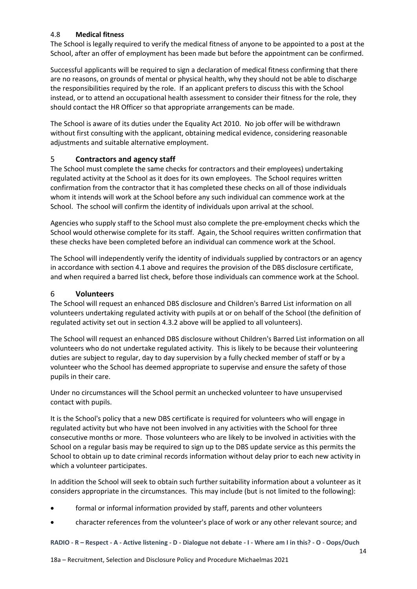### <span id="page-13-0"></span>4.8 **Medical fitness**

The School is legally required to verify the medical fitness of anyone to be appointed to a post at the School, after an offer of employment has been made but before the appointment can be confirmed.

Successful applicants will be required to sign a declaration of medical fitness confirming that there are no reasons, on grounds of mental or physical health, why they should not be able to discharge the responsibilities required by the role. If an applicant prefers to discuss this with the School instead, or to attend an occupational health assessment to consider their fitness for the role, they should contact the HR Officer so that appropriate arrangements can be made.

The School is aware of its duties under the Equality Act 2010. No job offer will be withdrawn without first consulting with the applicant, obtaining medical evidence, considering reasonable adjustments and suitable alternative employment.

### 5 **Contractors and agency staff**

The School must complete the same checks for contractors and their employees) undertaking regulated activity at the School as it does for its own employees. The School requires written confirmation from the contractor that it has completed these checks on all of those individuals whom it intends will work at the School before any such individual can commence work at the School. The school will confirm the identity of individuals upon arrival at the school.

Agencies who supply staff to the School must also complete the pre-employment checks which the School would otherwise complete for its staff. Again, the School requires written confirmation that these checks have been completed before an individual can commence work at the School.

The School will independently verify the identity of individuals supplied by contractors or an agency in accordance with sectio[n 4.1](#page-3-0) above and requires the provision of the DBS disclosure certificate, and when required a barred list check, before those individuals can commence work at the School.

### 6 **Volunteers**

The School will request an enhanced DBS disclosure and Children's Barred List information on all volunteers undertaking regulated activity with pupils at or on behalf of the School (the definition of regulated activity set out in sectio[n 4.3.2](#page-6-0) above will be applied to all volunteers).

The School will request an enhanced DBS disclosure without Children's Barred List information on all volunteers who do not undertake regulated activity. This is likely to be because their volunteering duties are subject to regular, day to day supervision by a fully checked member of staff or by a volunteer who the School has deemed appropriate to supervise and ensure the safety of those pupils in their care.

Under no circumstances will the School permit an unchecked volunteer to have unsupervised contact with pupils.

It is the School's policy that a new DBS certificate is required for volunteers who will engage in regulated activity but who have not been involved in any activities with the School for three consecutive months or more. Those volunteers who are likely to be involved in activities with the School on a regular basis may be required to sign up to the DBS update service as this permits the School to obtain up to date criminal records information without delay prior to each new activity in which a volunteer participates.

In addition the School will seek to obtain such further suitability information about a volunteer as it considers appropriate in the circumstances. This may include (but is not limited to the following):

- formal or informal information provided by staff, parents and other volunteers
- character references from the volunteer's place of work or any other relevant source; and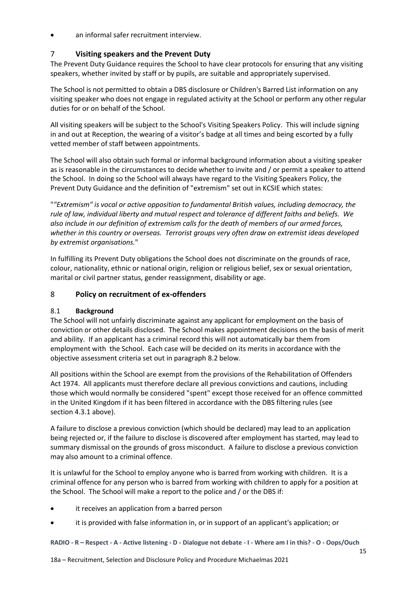an informal safer recruitment interview.

## <span id="page-14-0"></span>7 **Visiting speakers and the Prevent Duty**

The Prevent Duty Guidance requires the School to have clear protocols for ensuring that any visiting speakers, whether invited by staff or by pupils, are suitable and appropriately supervised.

The School is not permitted to obtain a DBS disclosure or Children's Barred List information on any visiting speaker who does not engage in regulated activity at the School or perform any other regular duties for or on behalf of the School.

All visiting speakers will be subject to the School's Visiting Speakers Policy. This will include signing in and out at Reception, the wearing of a visitor's badge at all times and being escorted by a fully vetted member of staff between appointments.

The School will also obtain such formal or informal background information about a visiting speaker as is reasonable in the circumstances to decide whether to invite and / or permit a speaker to attend the School. In doing so the School will always have regard to the Visiting Speakers Policy, the Prevent Duty Guidance and the definition of "extremism" set out in KCSIE which states:

"*"Extremism" is vocal or active opposition to fundamental British values, including democracy, the rule of law, individual liberty and mutual respect and tolerance of different faiths and beliefs. We also include in our definition of extremism calls for the death of members of our armed forces, whether in this country or overseas. Terrorist groups very often draw on extremist ideas developed by extremist organisations.*"

In fulfilling its Prevent Duty obligations the School does not discriminate on the grounds of race, colour, nationality, ethnic or national origin, religion or religious belief, sex or sexual orientation, marital or civil partner status, gender reassignment, disability or age.

### 8 **Policy on recruitment of ex-offenders**

### 8.1 **Background**

The School will not unfairly discriminate against any applicant for employment on the basis of conviction or other details disclosed. The School makes appointment decisions on the basis of merit and ability. If an applicant has a criminal record this will not automatically bar them from employment with the School. Each case will be decided on its merits in accordance with the objective assessment criteria set out in paragraph [8.2](#page-15-0) below.

All positions within the School are exempt from the provisions of the Rehabilitation of Offenders Act 1974. All applicants must therefore declare all previous convictions and cautions, including those which would normally be considered "spent" except those received for an offence committed in the United Kingdom if it has been filtered in accordance with the DBS filtering rules (see section [4.3.1](#page-5-0) above).

A failure to disclose a previous conviction (which should be declared) may lead to an application being rejected or, if the failure to disclose is discovered after employment has started, may lead to summary dismissal on the grounds of gross misconduct. A failure to disclose a previous conviction may also amount to a criminal offence.

It is unlawful for the School to employ anyone who is barred from working with children. It is a criminal offence for any person who is barred from working with children to apply for a position at the School. The School will make a report to the police and / or the DBS if:

- it receives an application from a barred person
- it is provided with false information in, or in support of an applicant's application; or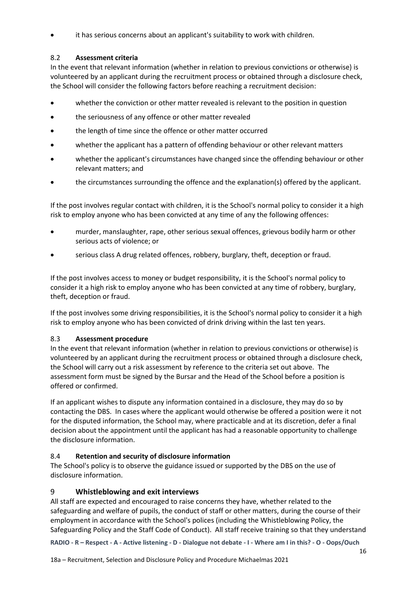it has serious concerns about an applicant's suitability to work with children.

## <span id="page-15-0"></span>8.2 **Assessment criteria**

In the event that relevant information (whether in relation to previous convictions or otherwise) is volunteered by an applicant during the recruitment process or obtained through a disclosure check, the School will consider the following factors before reaching a recruitment decision:

- whether the conviction or other matter revealed is relevant to the position in question
- the seriousness of any offence or other matter revealed
- the length of time since the offence or other matter occurred
- whether the applicant has a pattern of offending behaviour or other relevant matters
- whether the applicant's circumstances have changed since the offending behaviour or other relevant matters; and
- the circumstances surrounding the offence and the explanation(s) offered by the applicant.

If the post involves regular contact with children, it is the School's normal policy to consider it a high risk to employ anyone who has been convicted at any time of any the following offences:

- murder, manslaughter, rape, other serious sexual offences, grievous bodily harm or other serious acts of violence; or
- serious class A drug related offences, robbery, burglary, theft, deception or fraud.

If the post involves access to money or budget responsibility, it is the School's normal policy to consider it a high risk to employ anyone who has been convicted at any time of robbery, burglary, theft, deception or fraud.

If the post involves some driving responsibilities, it is the School's normal policy to consider it a high risk to employ anyone who has been convicted of drink driving within the last ten years.

### 8.3 **Assessment procedure**

In the event that relevant information (whether in relation to previous convictions or otherwise) is volunteered by an applicant during the recruitment process or obtained through a disclosure check, the School will carry out a risk assessment by reference to the criteria set out above. The assessment form must be signed by the Bursar and the Head of the School before a position is offered or confirmed.

If an applicant wishes to dispute any information contained in a disclosure, they may do so by contacting the DBS. In cases where the applicant would otherwise be offered a position were it not for the disputed information, the School may, where practicable and at its discretion, defer a final decision about the appointment until the applicant has had a reasonable opportunity to challenge the disclosure information.

### 8.4 **Retention and security of disclosure information**

The School's policy is to observe the guidance issued or supported by the DBS on the use of disclosure information.

### 9 **Whistleblowing and exit interviews**

All staff are expected and encouraged to raise concerns they have, whether related to the safeguarding and welfare of pupils, the conduct of staff or other matters, during the course of their employment in accordance with the School's polices (including the Whistleblowing Policy, the Safeguarding Policy and the Staff Code of Conduct). All staff receive training so that they understand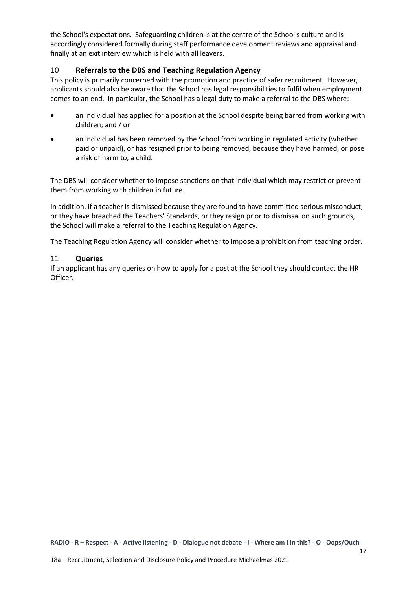the School's expectations. Safeguarding children is at the centre of the School's culture and is accordingly considered formally during staff performance development reviews and appraisal and finally at an exit interview which is held with all leavers.

### 10 **Referrals to the DBS and Teaching Regulation Agency**

This policy is primarily concerned with the promotion and practice of safer recruitment. However, applicants should also be aware that the School has legal responsibilities to fulfil when employment comes to an end. In particular, the School has a legal duty to make a referral to the DBS where:

- an individual has applied for a position at the School despite being barred from working with children; and / or
- an individual has been removed by the School from working in regulated activity (whether paid or unpaid), or has resigned prior to being removed, because they have harmed, or pose a risk of harm to, a child.

The DBS will consider whether to impose sanctions on that individual which may restrict or prevent them from working with children in future.

In addition, if a teacher is dismissed because they are found to have committed serious misconduct, or they have breached the Teachers' Standards, or they resign prior to dismissal on such grounds, the School will make a referral to the Teaching Regulation Agency.

The Teaching Regulation Agency will consider whether to impose a prohibition from teaching order.

### 11 **Queries**

If an applicant has any queries on how to apply for a post at the School they should contact the HR Officer.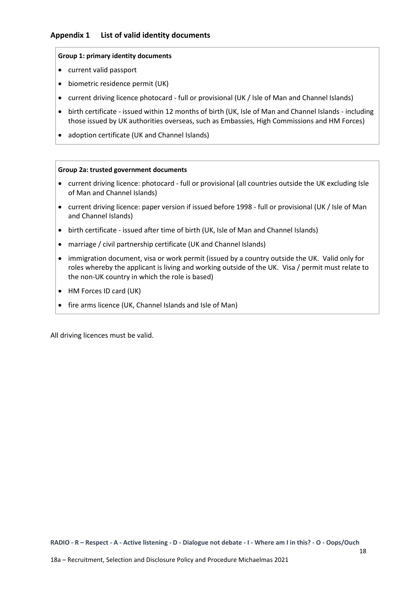#### <span id="page-17-0"></span>**Group 1: primary identity documents**

- current valid passport
- biometric residence permit (UK)
- current driving licence photocard full or provisional (UK / Isle of Man and Channel Islands)
- birth certificate issued within 12 months of birth (UK, Isle of Man and Channel Islands including those issued by UK authorities overseas, such as Embassies, High Commissions and HM Forces)
- adoption certificate (UK and Channel Islands)

#### **Group 2a: trusted government documents**

- current driving licence: photocard full or provisional (all countries outside the UK excluding Isle of Man and Channel Islands)
- current driving licence: paper version if issued before 1998 full or provisional (UK / Isle of Man and Channel Islands)
- birth certificate issued after time of birth (UK, Isle of Man and Channel Islands)
- marriage / civil partnership certificate (UK and Channel Islands)
- immigration document, visa or work permit (issued by a country outside the UK. Valid only for roles whereby the applicant is living and working outside of the UK. Visa / permit must relate to the non-UK country in which the role is based)
- HM Forces ID card (UK)
- fire arms licence (UK, Channel Islands and Isle of Man)

All driving licences must be valid.